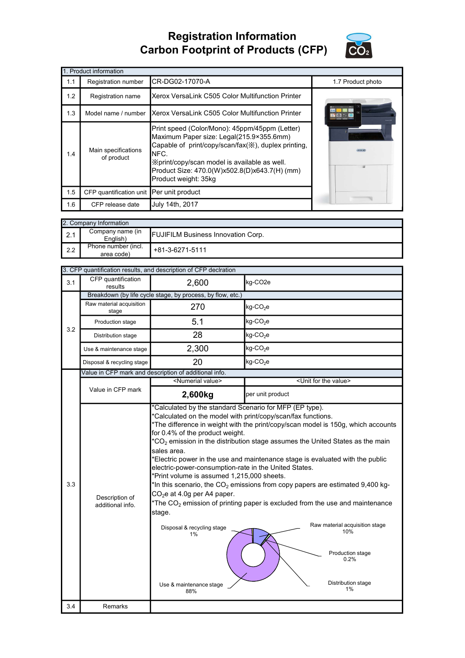## Registration Information Carbon Footprint of Products (CFP)



|     | 1. Product information                   |                                                                                                                                                                                                                                                                                     |                   |
|-----|------------------------------------------|-------------------------------------------------------------------------------------------------------------------------------------------------------------------------------------------------------------------------------------------------------------------------------------|-------------------|
| 1.1 | Registration number                      | CR-DG02-17070-A                                                                                                                                                                                                                                                                     | 1.7 Product photo |
| 1.2 | Registration name                        | Xerox VersaLink C505 Color Multifunction Printer                                                                                                                                                                                                                                    |                   |
| 1.3 | Model name / number                      | Xerox VersaLink C505 Color Multifunction Printer                                                                                                                                                                                                                                    |                   |
| 1.4 | Main specifications<br>of product        | Print speed (Color/Mono): 45ppm/45ppm (Letter)<br>Maximum Paper size: Legal(215.9×355.6mm)<br>Capable of print/copy/scan/fax(※), duplex printing,<br>NFC.<br>X print/copy/scan model is available as well.<br>Product Size: 470.0(W)x502.8(D)x643.7(H) (mm)<br>Product weight: 35kg |                   |
| 1.5 | CFP quantification unit Per unit product |                                                                                                                                                                                                                                                                                     |                   |
| 1.6 | CFP release date                         | July 14th, 2017                                                                                                                                                                                                                                                                     |                   |

|     | 2. Company Information            |                                           |
|-----|-----------------------------------|-------------------------------------------|
| 2.1 | Company name (in<br>English)      | <b>FUJIFILM Business Innovation Corp.</b> |
| 2.2 | Phone number (incl.<br>area code) | +81-3-6271-5111                           |

| 3.1 | CFP quantification                 |                                                                                                                                                                                                                                                                                     |                                                                                                                                                                                                                                                                                                                                                                                                                                                                                                                                                                                            |
|-----|------------------------------------|-------------------------------------------------------------------------------------------------------------------------------------------------------------------------------------------------------------------------------------------------------------------------------------|--------------------------------------------------------------------------------------------------------------------------------------------------------------------------------------------------------------------------------------------------------------------------------------------------------------------------------------------------------------------------------------------------------------------------------------------------------------------------------------------------------------------------------------------------------------------------------------------|
|     | results                            | 2,600                                                                                                                                                                                                                                                                               | kg-CO <sub>2e</sub>                                                                                                                                                                                                                                                                                                                                                                                                                                                                                                                                                                        |
|     |                                    | Breakdown (by life cycle stage, by process, by flow, etc.)                                                                                                                                                                                                                          |                                                                                                                                                                                                                                                                                                                                                                                                                                                                                                                                                                                            |
|     | Raw material acquisition<br>stage  | 270                                                                                                                                                                                                                                                                                 | kg-CO <sub>2</sub> e                                                                                                                                                                                                                                                                                                                                                                                                                                                                                                                                                                       |
| 3.2 | Production stage                   | 5.1                                                                                                                                                                                                                                                                                 | $kg$ -CO <sub>2</sub> e                                                                                                                                                                                                                                                                                                                                                                                                                                                                                                                                                                    |
|     | Distribution stage                 | 28                                                                                                                                                                                                                                                                                  | $kg$ -CO <sub>2</sub> e                                                                                                                                                                                                                                                                                                                                                                                                                                                                                                                                                                    |
|     | Use & maintenance stage            | 2,300                                                                                                                                                                                                                                                                               | $kg$ -CO <sub>2</sub> e                                                                                                                                                                                                                                                                                                                                                                                                                                                                                                                                                                    |
|     | Disposal & recycling stage         | 20                                                                                                                                                                                                                                                                                  | $kg$ -CO <sub>2</sub> e                                                                                                                                                                                                                                                                                                                                                                                                                                                                                                                                                                    |
|     |                                    | Value in CFP mark and description of additional info.                                                                                                                                                                                                                               |                                                                                                                                                                                                                                                                                                                                                                                                                                                                                                                                                                                            |
|     |                                    | <numerial value=""></numerial>                                                                                                                                                                                                                                                      | <unit for="" the="" value=""></unit>                                                                                                                                                                                                                                                                                                                                                                                                                                                                                                                                                       |
|     | Value in CFP mark                  | 2,600kg                                                                                                                                                                                                                                                                             | per unit product                                                                                                                                                                                                                                                                                                                                                                                                                                                                                                                                                                           |
| 3.3 | Description of<br>additional info. | for 0.4% of the product weight.<br>sales area.<br>electric-power-consumption-rate in the United States.<br>*Print volume is assumed 1,215,000 sheets.<br>CO <sub>2</sub> e at 4.0g per A4 paper.<br>stage.<br>Disposal & recycling stage<br>$1\%$<br>Use & maintenance stage<br>88% | *Calculated on the model with print/copy/scan/fax functions.<br>*The difference in weight with the print/copy/scan model is 150g, which accounts<br>$*CO2$ emission in the distribution stage assumes the United States as the main<br>*Electric power in the use and maintenance stage is evaluated with the public<br>*In this scenario, the $CO2$ emissions from copy papers are estimated 9,400 kg-<br>*The $CO2$ emission of printing paper is excluded from the use and maintenance<br>Raw material acquisition stage<br>10%<br>Production stage<br>0.2%<br>Distribution stage<br>1% |
| 3.4 | Remarks                            |                                                                                                                                                                                                                                                                                     |                                                                                                                                                                                                                                                                                                                                                                                                                                                                                                                                                                                            |